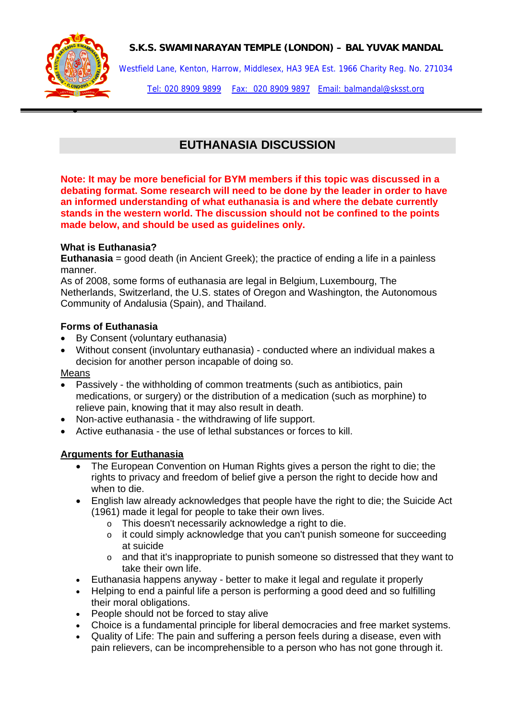# **S.K.S. SWAMINARAYAN TEMPLE (LONDON) – BAL YUVAK MANDAL**



•

Westfield Lane, Kenton, Harrow, Middlesex, HA3 9EA Est. 1966 Charity Reg. No. 271034

Tel: 020 8909 9899 Fax: 020 8909 9897 Email: balmandal@sksst.org

# **EUTHANASIA DISCUSSION**

**Note: It may be more beneficial for BYM members if this topic was discussed in a debating format. Some research will need to be done by the leader in order to have an informed understanding of what euthanasia is and where the debate currently stands in the western world. The discussion should not be confined to the points made below, and should be used as guidelines only.** 

# **What is Euthanasia?**

**Euthanasia** = good death (in Ancient Greek); the practice of ending a life in a painless manner.

As of 2008, some forms of euthanasia are legal in Belgium, Luxembourg, The Netherlands, Switzerland, the U.S. states of Oregon and Washington, the Autonomous Community of Andalusia (Spain), and Thailand.

#### **Forms of Euthanasia**

- By Consent (voluntary euthanasia)
- Without consent (involuntary euthanasia) conducted where an individual makes a decision for another person incapable of doing so.

#### Means

- Passively the withholding of common treatments (such as antibiotics, pain medications, or surgery) or the distribution of a medication (such as morphine) to relieve pain, knowing that it may also result in death.
- Non-active euthanasia the withdrawing of life support.
- Active euthanasia the use of lethal substances or forces to kill.

# **Arguments for Euthanasia**

- The European Convention on Human Rights gives a person the right to die; the rights to privacy and freedom of belief give a person the right to decide how and when to die.
- English law already acknowledges that people have the right to die; the Suicide Act (1961) made it legal for people to take their own lives.
	- o This doesn't necessarily acknowledge a right to die.
	- o it could simply acknowledge that you can't punish someone for succeeding at suicide
	- o and that it's inappropriate to punish someone so distressed that they want to take their own life.
- Euthanasia happens anyway better to make it legal and regulate it properly
- Helping to end a painful life a person is performing a good deed and so fulfilling their moral obligations.
- People should not be forced to stay alive
- Choice is a fundamental principle for liberal democracies and free market systems.
- Quality of Life: The pain and suffering a person feels during a disease, even with pain relievers, can be incomprehensible to a person who has not gone through it.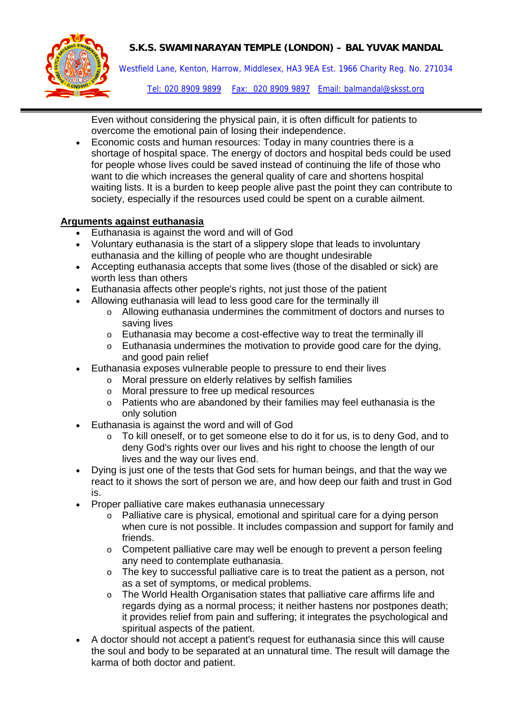# **S.K.S. SWAMINARAYAN TEMPLE (LONDON) – BAL YUVAK MANDAL**



Westfield Lane, Kenton, Harrow, Middlesex, HA3 9EA Est. 1966 Charity Reg. No. 271034

Tel: 020 8909 9899 Fax: 020 8909 9897 Email: balmandal@sksst.org

Even without considering the physical pain, it is often difficult for patients to overcome the emotional pain of losing their independence.

• Economic costs and human resources: Today in many countries there is a shortage of hospital space. The energy of doctors and hospital beds could be used for people whose lives could be saved instead of continuing the life of those who want to die which increases the general quality of care and shortens hospital waiting lists. It is a burden to keep people alive past the point they can contribute to society, especially if the resources used could be spent on a curable ailment.

# **Arguments against euthanasia**

- Euthanasia is against the word and will of God
- Voluntary euthanasia is the start of a slippery slope that leads to involuntary euthanasia and the killing of people who are thought undesirable
- Accepting euthanasia accepts that some lives (those of the disabled or sick) are worth less than others
- Euthanasia affects other people's rights, not just those of the patient
- Allowing euthanasia will lead to less good care for the terminally ill
	- o Allowing euthanasia undermines the commitment of doctors and nurses to saving lives
	- o Euthanasia may become a cost-effective way to treat the terminally ill
	- o Euthanasia undermines the motivation to provide good care for the dying, and good pain relief
- Euthanasia exposes vulnerable people to pressure to end their lives
	- o Moral pressure on elderly relatives by selfish families
	- o Moral pressure to free up medical resources
	- o Patients who are abandoned by their families may feel euthanasia is the only solution
- Euthanasia is against the word and will of God
	- $\circ$  To kill oneself, or to get someone else to do it for us, is to deny God, and to deny God's rights over our lives and his right to choose the length of our lives and the way our lives end.
- Dying is just one of the tests that God sets for human beings, and that the way we react to it shows the sort of person we are, and how deep our faith and trust in God is.
- Proper palliative care makes euthanasia unnecessary
	- o Palliative care is physical, emotional and spiritual care for a dying person when cure is not possible. It includes compassion and support for family and friends.
	- $\circ$  Competent palliative care may well be enough to prevent a person feeling any need to contemplate euthanasia.
	- o The key to successful palliative care is to treat the patient as a person, not as a set of symptoms, or medical problems.
	- o The World Health Organisation states that palliative care affirms life and regards dying as a normal process; it neither hastens nor postpones death; it provides relief from pain and suffering; it integrates the psychological and spiritual aspects of the patient.
- A doctor should not accept a patient's request for euthanasia since this will cause the soul and body to be separated at an unnatural time. The result will damage the karma of both doctor and patient.